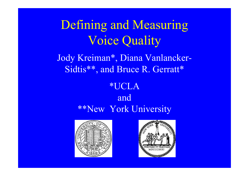Defining and Measuring Voice Quality

Jody Kreiman\*, Diana Vanlancker-Sidtis\*\*, and Bruce R. Gerratt\*

#### \*UCLA and \*\*New York University



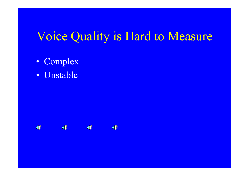### Voice Quality is Hard to Measure

- Complex
- Unstable

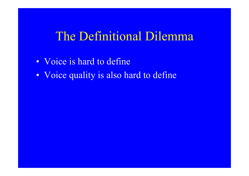### The Definitional Dilemma

- Voice is hard to define
- Voice quality is also hard to define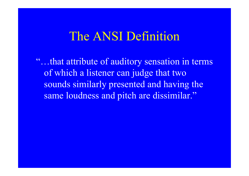### The ANSI Definition

"…that attribute of auditory sensation in terms of which a listener can judge that two sounds similarly presented and having the same loudness and pitch are dissimilar."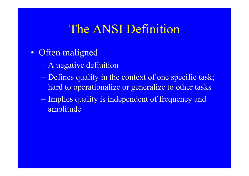## The ANSI Definition

- Often maligned
	- A negative definition
	- Defines quality in the context of one specific task; hard to operationalize or generalize to other tasks
	- Implies quality is independent of frequency and amplitude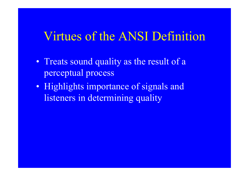### Virtues of the ANSI Definition

- Treats sound quality as the result of a perceptual process
- Highlights importance of signals and listeners in determining quality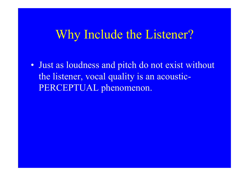### Why Include the Listener?

• Just as loudness and pitch do not exist without the listener, vocal quality is an acoustic-PERCEPTUAL phenomenon.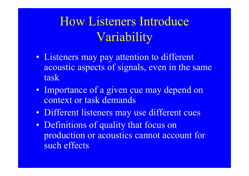# How Listeners Introduce Variability

- Listeners may pay attention to different acoustic aspects of signals, even in the same task
- Importance of a given cue may depend on context or task demands
- Different listeners may use different cues
- Definitions of quality that focus on production or acoustics cannot account for such effects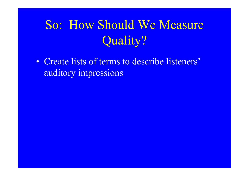# So: How Should We Measure Quality?

• Create lists of terms to describe listeners' auditory impressions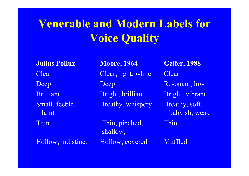## **Venerable and Modern Labels for Voice Quality**

**Julius Pollux**

 **Moore, 1964 Gelfer, 1988** Clear Clear, light, white Clear Deep Deep Resonant, low Brilliant Bright, brilliant Bright, vibrant Small, feeble, Breathy, whispery Breathy, soft, faint babyish, weak Thin Thin, pinched, Thin shallow,

Hollow, indistinct Hollow, covered Muffled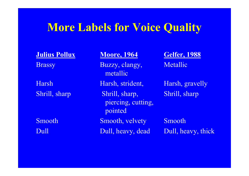### **More Labels for Voice Quality**

**Julius Pollux**

Brassy Buzzy, clangy, Metallic metallic

Shrill, sharp Shrill, sharp, Shrill, sharp piercing, cutting, pointed Smooth Smooth, velvety Smooth

**Moore, 1964 Gelfer, 1988** 

Harsh Harsh, strident, Harsh, gravelly

Dull Dull, heavy, dead Dull, heavy, thick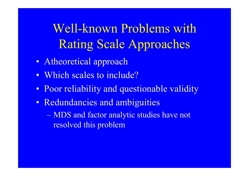Well-known Problems with Rating Scale Approaches

- Atheoretical approach
- Which scales to include?
- Poor reliability and questionable validity
- Redundancies and ambiguities

 MDS and factor analytic studies have not resolved this problem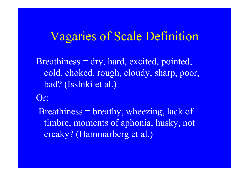### Vagaries of Scale Definition

Breathiness = dry, hard, excited, pointed, cold, choked, rough, cloudy, sharp, poor, bad? (Isshiki et al.)

Or:

Breathiness = breathy, wheezing, lack of timbre, moments of aphonia, husky, not creaky? (Hammarberg et al.)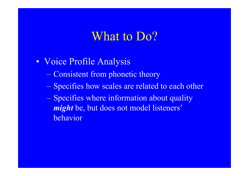#### What to Do?

- Voice Profile Analysis
	- Consistent from phonetic theory
	- Specifies how scales are related to each other
	- Specifies where information about quality *might* be, but does not model listeners' behavior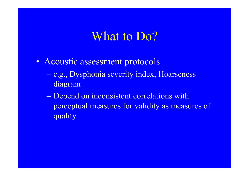### What to Do?

- Acoustic assessment protocols
	- e.g., Dysphonia severity index, Hoarseness diagram
	- Depend on inconsistent correlations with perceptual measures for validity as measures of quality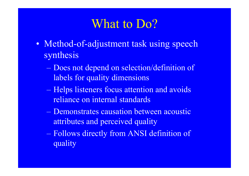### What to Do?

- Method-of-adjustment task using speech synthesis
	- Does not depend on selection/definition of labels for quality dimensions
	- Helps listeners focus attention and avoids reliance on internal standards
	- Demonstrates causation between acoustic attributes and perceived quality
	- Follows directly from ANSI definition of quality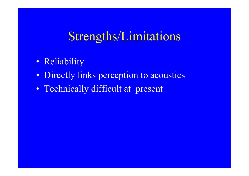### Strengths/Limitations

- Reliability
- Directly links perception to acoustics
- Technically difficult at present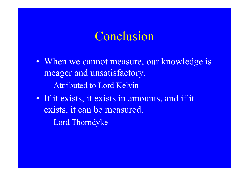### Conclusion

- When we cannot measure, our knowledge is meager and unsatisfactory.
	- Attributed to Lord Kelvin
- If it exists, it exists in amounts, and if it exists, it can be measured.
	- Lord Thorndyke